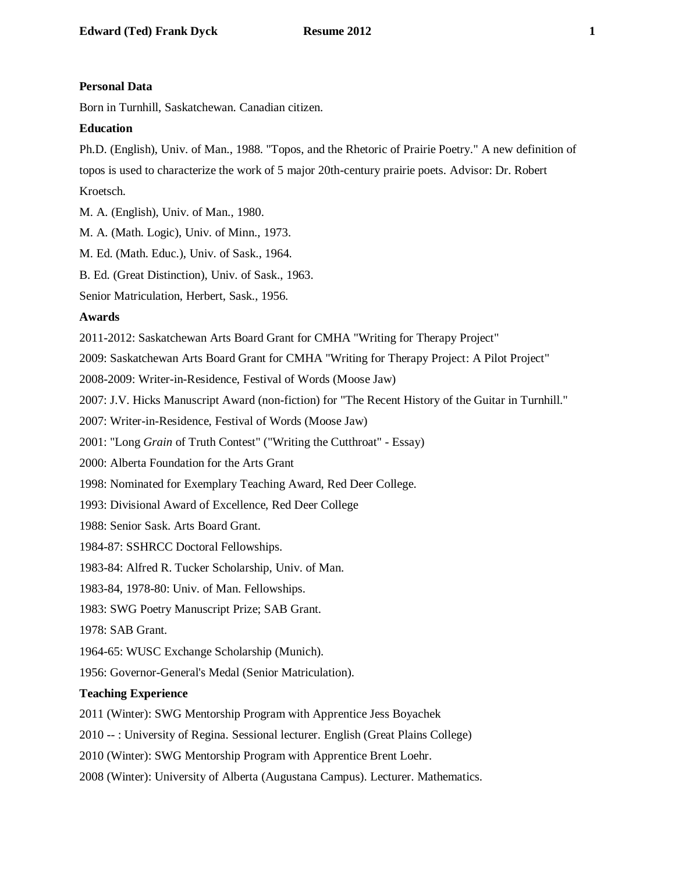## **Personal Data**

Born in Turnhill, Saskatchewan. Canadian citizen.

# **Education**

Ph.D. (English), Univ. of Man., 1988. "Topos, and the Rhetoric of Prairie Poetry." A new definition of topos is used to characterize the work of 5 major 20th-century prairie poets. Advisor: Dr. Robert Kroetsch.

M. A. (English), Univ. of Man., 1980.

M. A. (Math. Logic), Univ. of Minn., 1973.

M. Ed. (Math. Educ.), Univ. of Sask., 1964.

B. Ed. (Great Distinction), Univ. of Sask., 1963.

Senior Matriculation, Herbert, Sask., 1956.

# **Awards**

2011-2012: Saskatchewan Arts Board Grant for CMHA "Writing for Therapy Project"

2009: Saskatchewan Arts Board Grant for CMHA "Writing for Therapy Project: A Pilot Project"

2008-2009: Writer-in-Residence, Festival of Words (Moose Jaw)

2007: J.V. Hicks Manuscript Award (non-fiction) for "The Recent History of the Guitar in Turnhill."

2007: Writer-in-Residence, Festival of Words (Moose Jaw)

2001: "Long *Grain* of Truth Contest" ("Writing the Cutthroat" - Essay)

2000: Alberta Foundation for the Arts Grant

1998: Nominated for Exemplary Teaching Award, Red Deer College.

1993: Divisional Award of Excellence, Red Deer College

1988: Senior Sask. Arts Board Grant.

1984-87: SSHRCC Doctoral Fellowships.

1983-84: Alfred R. Tucker Scholarship, Univ. of Man.

1983-84, 1978-80: Univ. of Man. Fellowships.

1983: SWG Poetry Manuscript Prize; SAB Grant.

1978: SAB Grant.

1964-65: WUSC Exchange Scholarship (Munich).

1956: Governor-General's Medal (Senior Matriculation).

# **Teaching Experience**

2011 (Winter): SWG Mentorship Program with Apprentice Jess Boyachek

2010 -- : University of Regina. Sessional lecturer. English (Great Plains College)

2010 (Winter): SWG Mentorship Program with Apprentice Brent Loehr.

2008 (Winter): University of Alberta (Augustana Campus). Lecturer. Mathematics.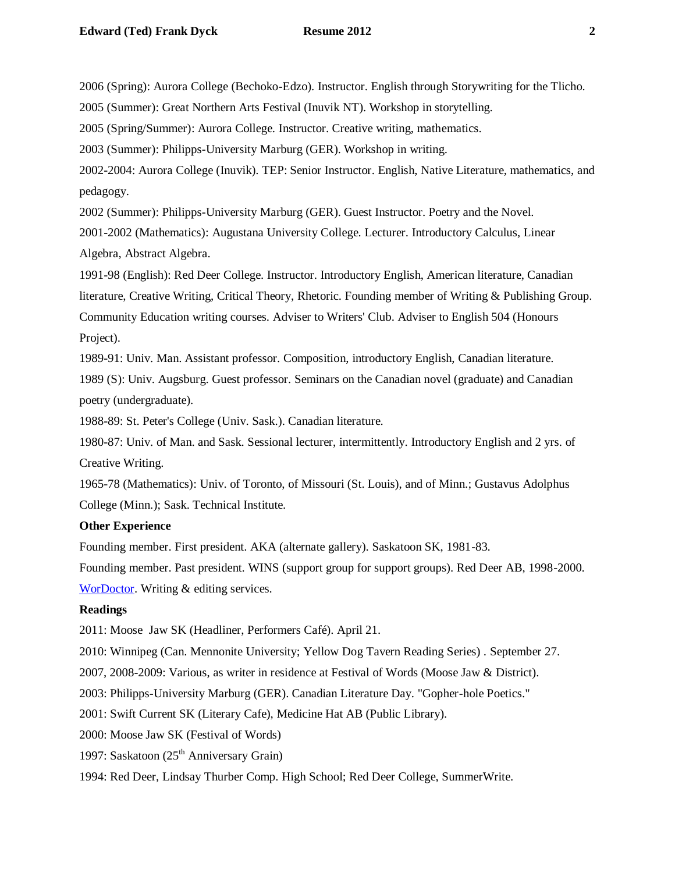2006 (Spring): Aurora College (Bechoko-Edzo). Instructor. English through Storywriting for the Tlicho.

2005 (Summer): Great Northern Arts Festival (Inuvik NT). Workshop in storytelling.

2005 (Spring/Summer): Aurora College. Instructor. Creative writing, mathematics.

2003 (Summer): Philipps-University Marburg (GER). Workshop in writing.

2002-2004: Aurora College (Inuvik). TEP: Senior Instructor. English, Native Literature, mathematics, and pedagogy.

2002 (Summer): Philipps-University Marburg (GER). Guest Instructor. Poetry and the Novel.

2001-2002 (Mathematics): Augustana University College. Lecturer. Introductory Calculus, Linear Algebra, Abstract Algebra.

1991-98 (English): Red Deer College. Instructor. Introductory English, American literature, Canadian literature, Creative Writing, Critical Theory, Rhetoric. Founding member of Writing & Publishing Group. Community Education writing courses. Adviser to Writers' Club. Adviser to English 504 (Honours Project).

1989-91: Univ. Man. Assistant professor. Composition, introductory English, Canadian literature.

1989 (S): Univ. Augsburg. Guest professor. Seminars on the Canadian novel (graduate) and Canadian poetry (undergraduate).

1988-89: St. Peter's College (Univ. Sask.). Canadian literature.

1980-87: Univ. of Man. and Sask. Sessional lecturer, intermittently. Introductory English and 2 yrs. of Creative Writing.

1965-78 (Mathematics): Univ. of Toronto, of Missouri (St. Louis), and of Minn.; Gustavus Adolphus College (Minn.); Sask. Technical Institute.

#### **Other Experience**

Founding member. First president. AKA (alternate gallery). Saskatoon SK, 1981-83.

Founding member. Past president. WINS (support group for support groups). Red Deer AB, 1998-2000. [WorDoctor.](http://www.wordoc.sasktelwebsite.net/) Writing & editing services.

## **Readings**

2011: Moose Jaw SK (Headliner, Performers Café). April 21.

2010: Winnipeg (Can. Mennonite University; Yellow Dog Tavern Reading Series) . September 27.

2007, 2008-2009: Various, as writer in residence at Festival of Words (Moose Jaw & District).

2003: Philipps-University Marburg (GER). Canadian Literature Day. "Gopher-hole Poetics."

2001: Swift Current SK (Literary Cafe), Medicine Hat AB (Public Library).

2000: Moose Jaw SK (Festival of Words)

1997: Saskatoon  $(25<sup>th</sup>$  Anniversary Grain)

1994: Red Deer, Lindsay Thurber Comp. High School; Red Deer College, SummerWrite.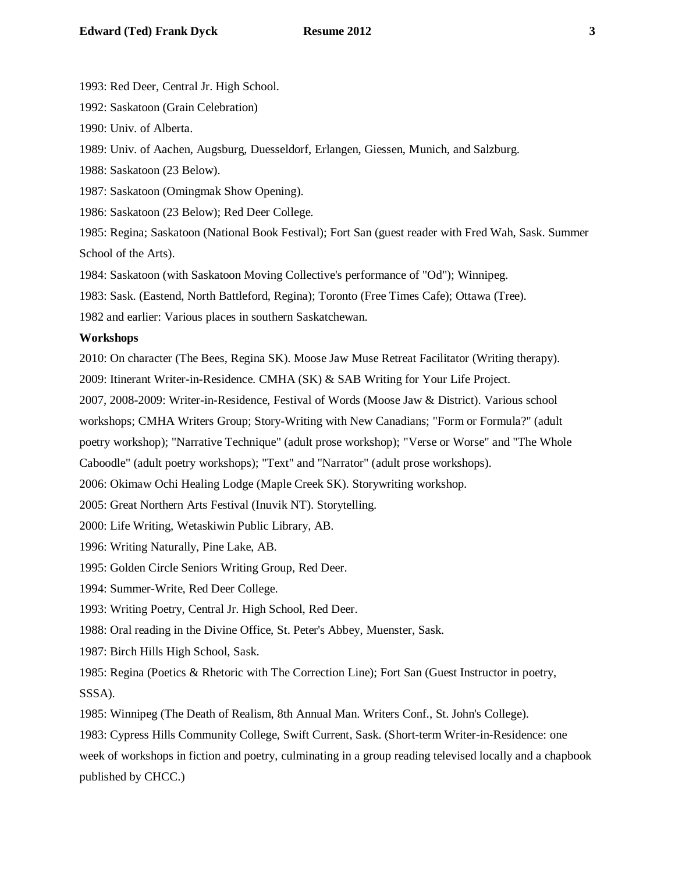1993: Red Deer, Central Jr. High School.

1992: Saskatoon (Grain Celebration)

1990: Univ. of Alberta.

1989: Univ. of Aachen, Augsburg, Duesseldorf, Erlangen, Giessen, Munich, and Salzburg.

1988: Saskatoon (23 Below).

1987: Saskatoon (Omingmak Show Opening).

1986: Saskatoon (23 Below); Red Deer College.

1985: Regina; Saskatoon (National Book Festival); Fort San (guest reader with Fred Wah, Sask. Summer School of the Arts).

1984: Saskatoon (with Saskatoon Moving Collective's performance of "Od"); Winnipeg.

1983: Sask. (Eastend, North Battleford, Regina); Toronto (Free Times Cafe); Ottawa (Tree).

1982 and earlier: Various places in southern Saskatchewan.

## **Workshops**

2010: On character (The Bees, Regina SK). Moose Jaw Muse Retreat Facilitator (Writing therapy).

2009: Itinerant Writer-in-Residence. CMHA (SK) & SAB Writing for Your Life Project.

2007, 2008-2009: Writer-in-Residence, Festival of Words (Moose Jaw & District). Various school

workshops; CMHA Writers Group; Story-Writing with New Canadians; "Form or Formula?" (adult

poetry workshop); "Narrative Technique" (adult prose workshop); "Verse or Worse" and "The Whole

Caboodle" (adult poetry workshops); "Text" and "Narrator" (adult prose workshops).

2006: Okimaw Ochi Healing Lodge (Maple Creek SK). Storywriting workshop.

2005: Great Northern Arts Festival (Inuvik NT). Storytelling.

2000: Life Writing, Wetaskiwin Public Library, AB.

1996: Writing Naturally, Pine Lake, AB.

1995: Golden Circle Seniors Writing Group, Red Deer.

1994: Summer-Write, Red Deer College.

1993: Writing Poetry, Central Jr. High School, Red Deer.

1988: Oral reading in the Divine Office, St. Peter's Abbey, Muenster, Sask.

1987: Birch Hills High School, Sask.

1985: Regina (Poetics & Rhetoric with The Correction Line); Fort San (Guest Instructor in poetry, SSSA).

1985: Winnipeg (The Death of Realism, 8th Annual Man. Writers Conf., St. John's College).

1983: Cypress Hills Community College, Swift Current, Sask. (Short-term Writer-in-Residence: one week of workshops in fiction and poetry, culminating in a group reading televised locally and a chapbook published by CHCC.)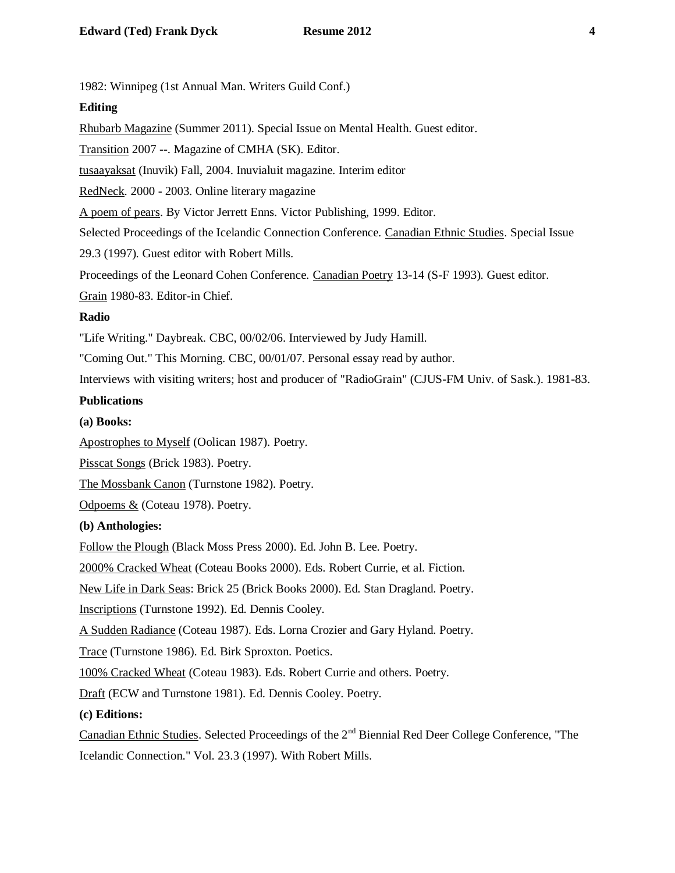1982: Winnipeg (1st Annual Man. Writers Guild Conf.)

## **Editing**

Rhubarb Magazine (Summer 2011). Special Issue on Mental Health. Guest editor.

Transition 2007 --. Magazine of CMHA (SK). Editor.

tusaayaksat (Inuvik) Fall, 2004. Inuvialuit magazine. Interim editor

RedNeck. 2000 - 2003. Online literary magazine

A poem of pears. By Victor Jerrett Enns. Victor Publishing, 1999. Editor.

Selected Proceedings of the Icelandic Connection Conference. Canadian Ethnic Studies. Special Issue

29.3 (1997). Guest editor with Robert Mills.

Proceedings of the Leonard Cohen Conference. Canadian Poetry 13-14 (S-F 1993). Guest editor.

Grain 1980-83. Editor-in Chief.

## **Radio**

"Life Writing." Daybreak. CBC, 00/02/06. Interviewed by Judy Hamill.

"Coming Out." This Morning. CBC, 00/01/07. Personal essay read by author.

Interviews with visiting writers; host and producer of "RadioGrain" (CJUS-FM Univ. of Sask.). 1981-83.

# **Publications**

## **(a) Books:**

Apostrophes to Myself (Oolican 1987). Poetry.

Pisscat Songs (Brick 1983). Poetry.

The Mossbank Canon (Turnstone 1982). Poetry.

Odpoems & (Coteau 1978). Poetry.

## **(b) Anthologies:**

Follow the Plough (Black Moss Press 2000). Ed. John B. Lee. Poetry.

2000% Cracked Wheat (Coteau Books 2000). Eds. Robert Currie, et al. Fiction.

New Life in Dark Seas: Brick 25 (Brick Books 2000). Ed. Stan Dragland. Poetry.

Inscriptions (Turnstone 1992). Ed. Dennis Cooley.

A Sudden Radiance (Coteau 1987). Eds. Lorna Crozier and Gary Hyland. Poetry.

Trace (Turnstone 1986). Ed. Birk Sproxton. Poetics.

100% Cracked Wheat (Coteau 1983). Eds. Robert Currie and others. Poetry.

Draft (ECW and Turnstone 1981). Ed. Dennis Cooley. Poetry.

## **(c) Editions:**

Canadian Ethnic Studies. Selected Proceedings of the 2nd Biennial Red Deer College Conference, "The Icelandic Connection." Vol. 23.3 (1997). With Robert Mills.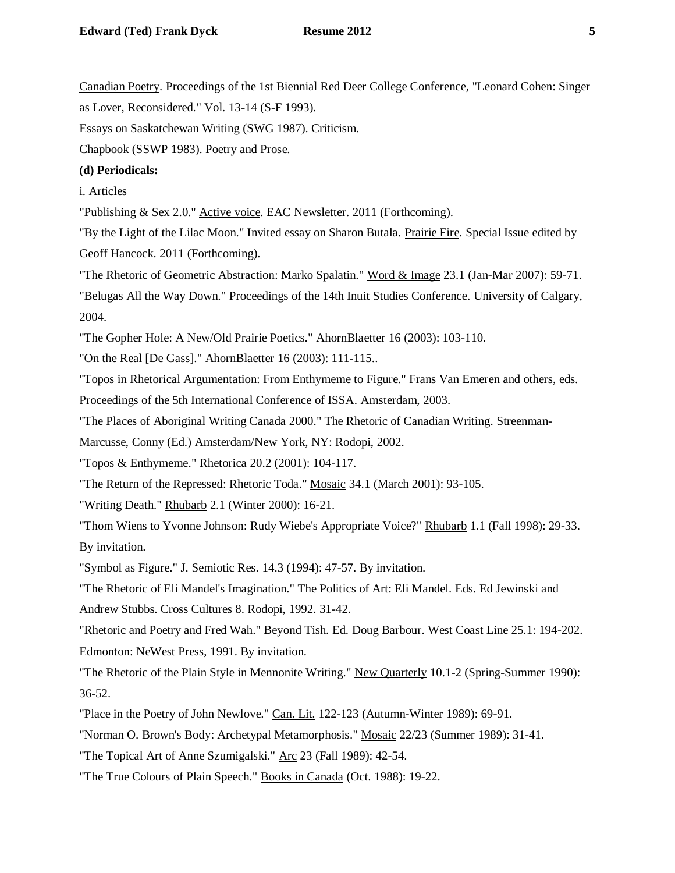Canadian Poetry. Proceedings of the 1st Biennial Red Deer College Conference, "Leonard Cohen: Singer

as Lover, Reconsidered." Vol. 13-14 (S-F 1993).

Essays on Saskatchewan Writing (SWG 1987). Criticism.

Chapbook (SSWP 1983). Poetry and Prose.

# **(d) Periodicals:**

i. Articles

"Publishing & Sex 2.0." Active voice. EAC Newsletter. 2011 (Forthcoming).

"By the Light of the Lilac Moon." Invited essay on Sharon Butala. Prairie Fire. Special Issue edited by Geoff Hancock. 2011 (Forthcoming).

"The Rhetoric of Geometric Abstraction: Marko Spalatin." Word & Image 23.1 (Jan-Mar 2007): 59-71.

"Belugas All the Way Down." [Proceedings of the 14th Inuit Studies Conference.](http://pubs.aina.ucalgary.ca/aina/14thISCProceedings.pdf) University of Calgary, 2004.

"The Gopher Hole: A New/Old Prairie Poetics." AhornBlaetter 16 (2003): 103-110.

"On the Real [De Gass]." AhornBlaetter 16 (2003): 111-115..

"Topos in Rhetorical Argumentation: From Enthymeme to Figure." Frans Van Emeren and others, eds. Proceedings of the 5th International Conference of ISSA. Amsterdam, 2003.

"The Places of Aboriginal Writing Canada 2000." The Rhetoric of Canadian Writing. Streenman-

Marcusse, Conny (Ed.) Amsterdam/New York, NY: Rodopi, 2002.

"Topos & Enthymeme." Rhetorica 20.2 (2001): 104-117.

"The Return of the Repressed: Rhetoric Toda." Mosaic 34.1 (March 2001): 93-105.

"Writing Death." Rhubarb 2.1 (Winter 2000): 16-21.

"Thom Wiens to Yvonne Johnson: Rudy Wiebe's Appropriate Voice?" Rhubarb 1.1 (Fall 1998): 29-33. By invitation.

"Symbol as Figure." J. Semiotic Res. 14.3 (1994): 47-57. By invitation.

"The Rhetoric of Eli Mandel's Imagination." The Politics of Art: Eli Mandel. Eds. Ed Jewinski and Andrew Stubbs. Cross Cultures 8. Rodopi, 1992. 31-42.

"Rhetoric and Poetry and Fred Wah." Beyond Tish. Ed. Doug Barbour. West Coast Line 25.1: 194-202. Edmonton: NeWest Press, 1991. By invitation.

"The Rhetoric of the Plain Style in Mennonite Writing." New Quarterly 10.1-2 (Spring-Summer 1990): 36-52.

"Place in the Poetry of John Newlove." Can. Lit. 122-123 (Autumn-Winter 1989): 69-91.

"Norman O. Brown's Body: Archetypal Metamorphosis." Mosaic 22/23 (Summer 1989): 31-41.

"The Topical Art of Anne Szumigalski." Arc 23 (Fall 1989): 42-54.

"The True Colours of Plain Speech." Books in Canada (Oct. 1988): 19-22.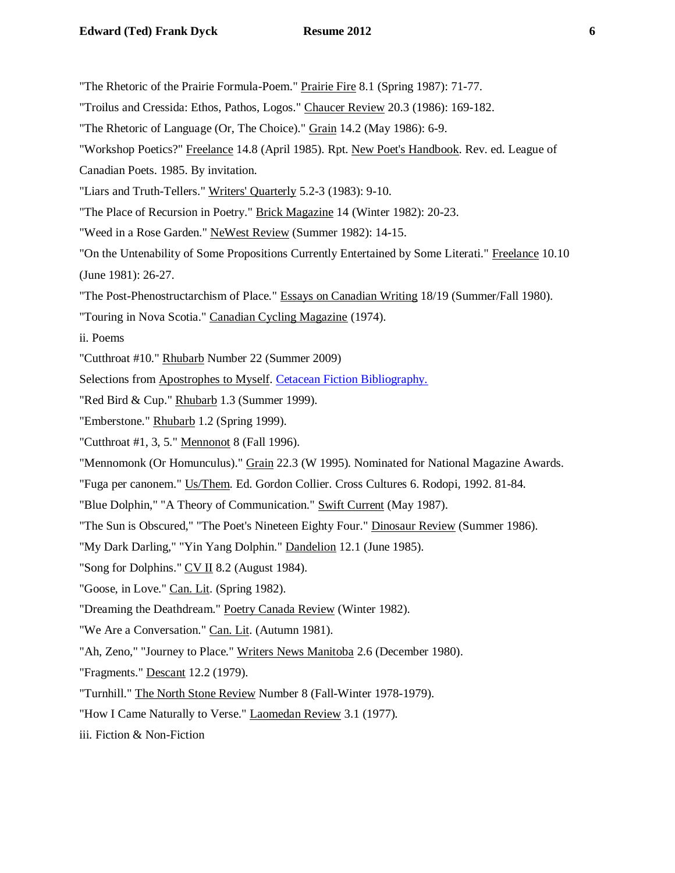"The Rhetoric of the Prairie Formula-Poem." Prairie Fire 8.1 (Spring 1987): 71-77.

- "Troilus and Cressida: Ethos, Pathos, Logos." Chaucer Review 20.3 (1986): 169-182.
- "The Rhetoric of Language (Or, The Choice)." Grain 14.2 (May 1986): 6-9.
- "Workshop Poetics?" Freelance 14.8 (April 1985). Rpt. New Poet's Handbook. Rev. ed. League of
- Canadian Poets. 1985. By invitation.
- "Liars and Truth-Tellers." Writers' Quarterly 5.2-3 (1983): 9-10.
- "The Place of Recursion in Poetry." Brick Magazine 14 (Winter 1982): 20-23.
- "Weed in a Rose Garden." NeWest Review (Summer 1982): 14-15.
- "On the Untenability of Some Propositions Currently Entertained by Some Literati." Freelance 10.10 (June 1981): 26-27.
- "The Post-Phenostructarchism of Place." Essays on Canadian Writing 18/19 (Summer/Fall 1980).
- "Touring in Nova Scotia." Canadian Cycling Magazine (1974).
- ii. Poems
- "Cutthroat #10." Rhubarb Number 22 (Summer 2009)
- Selections from Apostrophes to Myself. [Cetacean Fiction Bibliography.](http://www.helsinki.fi/~lauhakan/whale/literature/fiction.html)
- "Red Bird & Cup." Rhubarb 1.3 (Summer 1999).
- "Emberstone." Rhubarb 1.2 (Spring 1999).
- "Cutthroat #1, 3, 5." Mennonot 8 (Fall 1996).
- "Mennomonk (Or Homunculus)." Grain 22.3 (W 1995). Nominated for National Magazine Awards.
- "Fuga per canonem." Us/Them. Ed. Gordon Collier. Cross Cultures 6. Rodopi, 1992. 81-84.
- "Blue Dolphin," "A Theory of Communication." Swift Current (May 1987).
- "The Sun is Obscured," "The Poet's Nineteen Eighty Four." Dinosaur Review (Summer 1986).
- "My Dark Darling," "Yin Yang Dolphin." Dandelion 12.1 (June 1985).
- "Song for Dolphins." CV II 8.2 (August 1984).
- "Goose, in Love." Can. Lit. (Spring 1982).
- "Dreaming the Deathdream." Poetry Canada Review (Winter 1982).
- "We Are a Conversation." Can. Lit. (Autumn 1981).
- "Ah, Zeno," "Journey to Place." Writers News Manitoba 2.6 (December 1980).
- "Fragments." Descant 12.2 (1979).
- "Turnhill." The North Stone Review Number 8 (Fall-Winter 1978-1979).
- "How I Came Naturally to Verse." **Laomedan Review 3.1 (1977).**
- iii. Fiction & Non-Fiction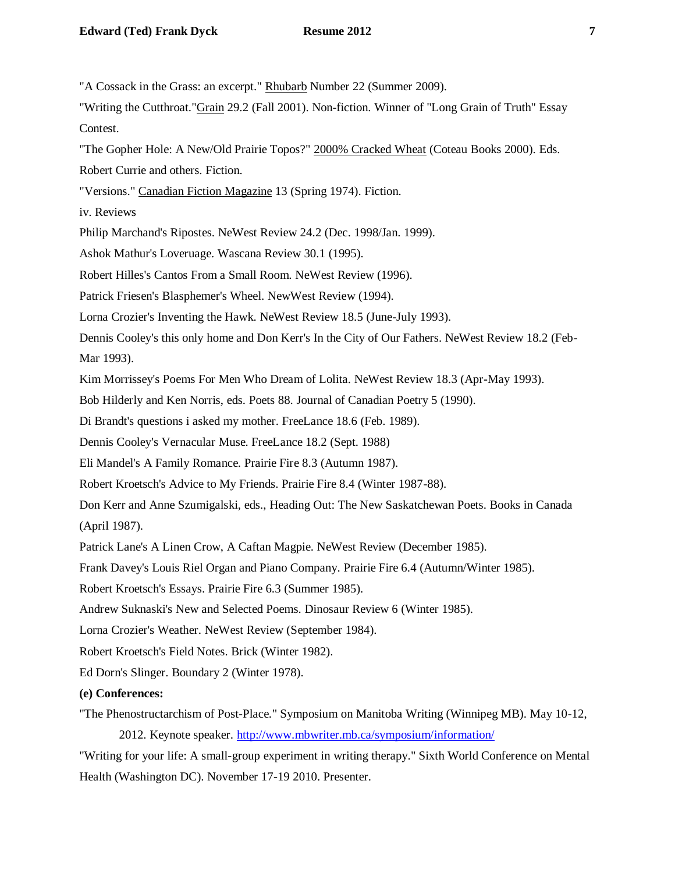"A Cossack in the Grass: an excerpt." Rhubarb Number 22 (Summer 2009).

"Writing the Cutthroat."Grain 29.2 (Fall 2001). Non-fiction. Winner of "Long Grain of Truth" Essay Contest.

"The Gopher Hole: A New/Old Prairie Topos?" 2000% Cracked Wheat (Coteau Books 2000). Eds.

Robert Currie and others. Fiction.

"Versions." Canadian Fiction Magazine 13 (Spring 1974). Fiction.

iv. Reviews

Philip Marchand's Ripostes. NeWest Review 24.2 (Dec. 1998/Jan. 1999).

Ashok Mathur's Loveruage. Wascana Review 30.1 (1995).

Robert Hilles's Cantos From a Small Room. NeWest Review (1996).

Patrick Friesen's Blasphemer's Wheel. NewWest Review (1994).

Lorna Crozier's Inventing the Hawk. NeWest Review 18.5 (June-July 1993).

Dennis Cooley's this only home and Don Kerr's In the City of Our Fathers. NeWest Review 18.2 (Feb-Mar 1993).

Kim Morrissey's Poems For Men Who Dream of Lolita. NeWest Review 18.3 (Apr-May 1993).

Bob Hilderly and Ken Norris, eds. Poets 88. Journal of Canadian Poetry 5 (1990).

Di Brandt's questions i asked my mother. FreeLance 18.6 (Feb. 1989).

Dennis Cooley's Vernacular Muse. FreeLance 18.2 (Sept. 1988)

Eli Mandel's A Family Romance. Prairie Fire 8.3 (Autumn 1987).

Robert Kroetsch's Advice to My Friends. Prairie Fire 8.4 (Winter 1987-88).

Don Kerr and Anne Szumigalski, eds., Heading Out: The New Saskatchewan Poets. Books in Canada (April 1987).

Patrick Lane's A Linen Crow, A Caftan Magpie. NeWest Review (December 1985).

Frank Davey's Louis Riel Organ and Piano Company. Prairie Fire 6.4 (Autumn/Winter 1985).

Robert Kroetsch's Essays. Prairie Fire 6.3 (Summer 1985).

Andrew Suknaski's New and Selected Poems. Dinosaur Review 6 (Winter 1985).

Lorna Crozier's Weather. NeWest Review (September 1984).

Robert Kroetsch's Field Notes. Brick (Winter 1982).

Ed Dorn's Slinger. Boundary 2 (Winter 1978).

**(e) Conferences:**

"The Phenostructarchism of Post-Place." Symposium on Manitoba Writing (Winnipeg MB). May 10-12, 2012. Keynote speaker.<http://www.mbwriter.mb.ca/symposium/information/>

"Writing for your life: A small-group experiment in writing therapy." Sixth World Conference on Mental Health (Washington DC). November 17-19 2010. Presenter.